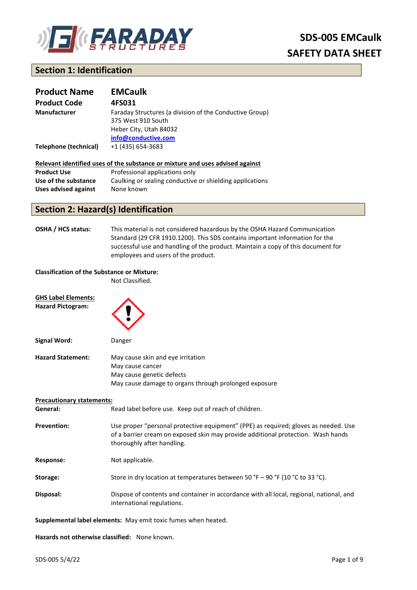

# **Section 1: Identification**

| <b>Product Name</b>   | <b>EMCaulk</b>                                                                                                                 |
|-----------------------|--------------------------------------------------------------------------------------------------------------------------------|
| <b>Product Code</b>   | 4FS031                                                                                                                         |
| <b>Manufacturer</b>   | Faraday Structures (a division of the Conductive Group)<br>375 West 910 South<br>Heber City, Utah 84032<br>info@conductive.com |
| Telephone (technical) | +1 (435) 654-3683                                                                                                              |

| Relevant identified uses of the substance or mixture and uses advised against |                                                          |  |
|-------------------------------------------------------------------------------|----------------------------------------------------------|--|
| <b>Product Use</b>                                                            | Professional applications only                           |  |
| Use of the substance                                                          | Caulking or sealing conductive or shielding applications |  |

## **Section 2: Hazard(s) Identification**

**Uses advised against** None known

**OSHA / HCS status:** This material is not considered hazardous by the OSHA Hazard Communication Standard (29 CFR 1910.1200). This SDS contains important information for the successful use and handling of the product. Maintain a copy of this document for employees and users of the product.

## **Classification of the Substance or Mixture:**

Not Classified.

| <b>GHS Label Elements:</b>       |                                                                                                                                                                                                       |
|----------------------------------|-------------------------------------------------------------------------------------------------------------------------------------------------------------------------------------------------------|
| <b>Hazard Pictogram:</b>         |                                                                                                                                                                                                       |
| <b>Signal Word:</b>              | Danger                                                                                                                                                                                                |
| <b>Hazard Statement:</b>         | May cause skin and eye irritation<br>May cause cancer<br>May cause genetic defects<br>May cause damage to organs through prolonged exposure                                                           |
| <b>Precautionary statements:</b> |                                                                                                                                                                                                       |
| General:                         | Read label before use. Keep out of reach of children.                                                                                                                                                 |
| <b>Prevention:</b>               | Use proper "personal protective equipment" (PPE) as required; gloves as needed. Use<br>of a barrier cream on exposed skin may provide additional protection. Wash hands<br>thoroughly after handling. |
| <b>Response:</b>                 | Not applicable.                                                                                                                                                                                       |
| Storage:                         | Store in dry location at temperatures between 50 °F - 90 °F (10 °C to 33 °C).                                                                                                                         |
| Disposal:                        | Dispose of contents and container in accordance with all local, regional, national, and<br>international regulations.                                                                                 |
|                                  | Supplemental label elements: May emit toxic fumes when heated.                                                                                                                                        |

**Hazards not otherwise classified:** None known.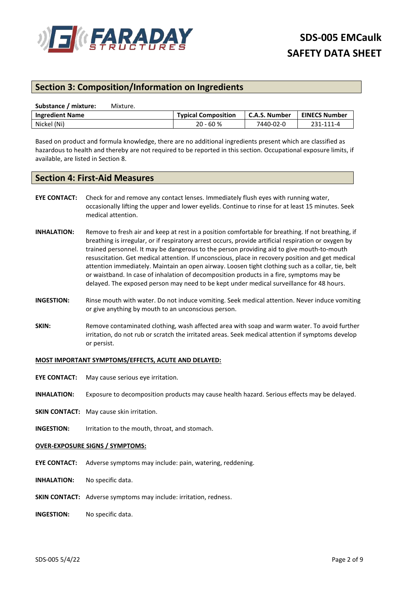

# **Section 3: Composition/Information on Ingredients**

| Substance / mixture:   | Mixture. |                            |                 |                      |
|------------------------|----------|----------------------------|-----------------|----------------------|
| <b>Ingredient Name</b> |          | <b>Typical Composition</b> | L C.A.S. Number | <b>EINECS Number</b> |
| Nickel (Ni)            |          | $20 - 60 %$                | 7440-02-0       | 231-111-4            |

Based on product and formula knowledge, there are no additional ingredients present which are classified as hazardous to health and thereby are not required to be reported in this section. Occupational exposure limits, if available, are listed in Section 8.

## **Section 4: First-Aid Measures**

- **EYE CONTACT:** Check for and remove any contact lenses. Immediately flush eyes with running water, occasionally lifting the upper and lower eyelids. Continue to rinse for at least 15 minutes. Seek medical attention.
- **INHALATION:** Remove to fresh air and keep at rest in a position comfortable for breathing. If not breathing, if breathing is irregular, or if respiratory arrest occurs, provide artificial respiration or oxygen by trained personnel. It may be dangerous to the person providing aid to give mouth-to-mouth resuscitation. Get medical attention. If unconscious, place in recovery position and get medical attention immediately. Maintain an open airway. Loosen tight clothing such as a collar, tie, belt or waistband. In case of inhalation of decomposition products in a fire, symptoms may be delayed. The exposed person may need to be kept under medical surveillance for 48 hours.
- **INGESTION:** Rinse mouth with water. Do not induce vomiting. Seek medical attention. Never induce vomiting or give anything by mouth to an unconscious person.
- **SKIN:** Remove contaminated clothing, wash affected area with soap and warm water. To avoid further irritation, do not rub or scratch the irritated areas. Seek medical attention if symptoms develop or persist.

## **MOST IMPORTANT SYMPTOMS/EFFECTS, ACUTE AND DELAYED:**

- **EYE CONTACT:** May cause serious eye irritation.
- **INHALATION:** Exposure to decomposition products may cause health hazard. Serious effects may be delayed.
- **SKIN CONTACT:** May cause skin irritation.
- **INGESTION:** Irritation to the mouth, throat, and stomach.

### **OVER-EXPOSURE SIGNS / SYMPTOMS:**

- **EYE CONTACT:** Adverse symptoms may include: pain, watering, reddening.
- **INHALATION:** No specific data.
- **SKIN CONTACT:** Adverse symptoms may include: irritation, redness.
- **INGESTION:** No specific data.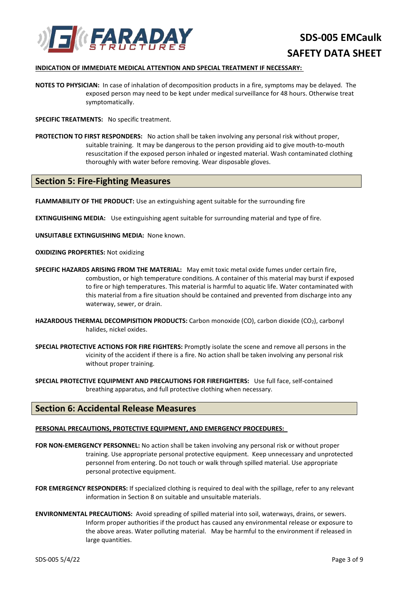

## **INDICATION OF IMMEDIATE MEDICAL ATTENTION AND SPECIAL TREATMENT IF NECESSARY:**

**NOTES TO PHYSICIAN:** In case of inhalation of decomposition products in a fire, symptoms may be delayed. The exposed person may need to be kept under medical surveillance for 48 hours. Otherwise treat symptomatically.

**SPECIFIC TREATMENTS:** No specific treatment.

**PROTECTION TO FIRST RESPONDERS:** No action shall be taken involving any personal risk without proper, suitable training. It may be dangerous to the person providing aid to give mouth-to-mouth resuscitation if the exposed person inhaled or ingested material. Wash contaminated clothing thoroughly with water before removing. Wear disposable gloves.

## **Section 5: Fire-Fighting Measures**

**FLAMMABILITY OF THE PRODUCT:** Use an extinguishing agent suitable for the surrounding fire

**EXTINGUISHING MEDIA:** Use extinguishing agent suitable for surrounding material and type of fire.

**UNSUITABLE EXTINGUISHING MEDIA:** None known.

## **OXIDIZING PROPERTIES:** Not oxidizing

- **SPECIFIC HAZARDS ARISING FROM THE MATERIAL:** May emit toxic metal oxide fumes under certain fire, combustion, or high temperature conditions. A container of this material may burst if exposed to fire or high temperatures. This material is harmful to aquatic life. Water contaminated with this material from a fire situation should be contained and prevented from discharge into any waterway, sewer, or drain.
- HAZARDOUS THERMAL DECOMPISITION PRODUCTS: Carbon monoxide (CO), carbon dioxide (CO<sub>2</sub>), carbonyl halides, nickel oxides.
- **SPECIAL PROTECTIVE ACTIONS FOR FIRE FIGHTERS:** Promptly isolate the scene and remove all persons in the vicinity of the accident if there is a fire. No action shall be taken involving any personal risk without proper training.

**SPECIAL PROTECTIVE EQUIPMENT AND PRECAUTIONS FOR FIREFIGHTERS:** Use full face, self-contained breathing apparatus, and full protective clothing when necessary.

## **Section 6: Accidental Release Measures**

### **PERSONAL PRECAUTIONS, PROTECTIVE EQUIPMENT, AND EMERGENCY PROCEDURES:**

- **FOR NON-EMERGENCY PERSONNEL:** No action shall be taken involving any personal risk or without proper training. Use appropriate personal protective equipment. Keep unnecessary and unprotected personnel from entering. Do not touch or walk through spilled material. Use appropriate personal protective equipment.
- **FOR EMERGENCY RESPONDERS:** If specialized clothing is required to deal with the spillage, refer to any relevant information in Section 8 on suitable and unsuitable materials.
- **ENVIRONMENTAL PRECAUTIONS:** Avoid spreading of spilled material into soil, waterways, drains, or sewers. Inform proper authorities if the product has caused any environmental release or exposure to the above areas. Water polluting material. May be harmful to the environment if released in large quantities.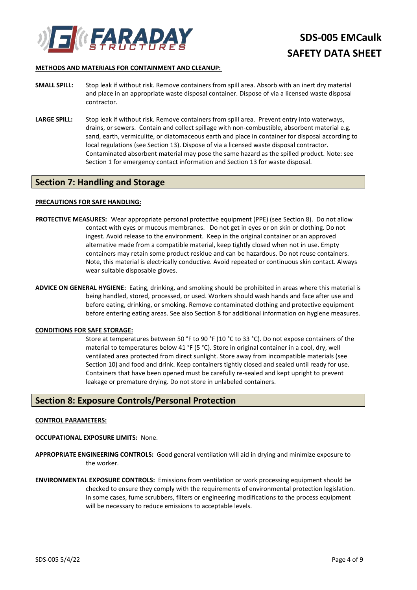

## **METHODS AND MATERIALS FOR CONTAINMENT AND CLEANUP:**

- **SMALL SPILL:** Stop leak if without risk. Remove containers from spill area. Absorb with an inert dry material and place in an appropriate waste disposal container. Dispose of via a licensed waste disposal contractor.
- LARGE SPILL: Stop leak if without risk. Remove containers from spill area. Prevent entry into waterways, drains, or sewers. Contain and collect spillage with non-combustible, absorbent material e.g. sand, earth, vermiculite, or diatomaceous earth and place in container for disposal according to local regulations (see Section 13). Dispose of via a licensed waste disposal contractor. Contaminated absorbent material may pose the same hazard as the spilled product. Note: see Section 1 for emergency contact information and Section 13 for waste disposal.

## **Section 7: Handling and Storage**

## **PRECAUTIONS FOR SAFE HANDLING:**

- **PROTECTIVE MEASURES:** Wear appropriate personal protective equipment (PPE) (see Section 8). Do not allow contact with eyes or mucous membranes. Do not get in eyes or on skin or clothing. Do not ingest. Avoid release to the environment. Keep in the original container or an approved alternative made from a compatible material, keep tightly closed when not in use. Empty containers may retain some product residue and can be hazardous. Do not reuse containers. Note, this material is electrically conductive. Avoid repeated or continuous skin contact. Always wear suitable disposable gloves.
- **ADVICE ON GENERAL HYGIENE:** Eating, drinking, and smoking should be prohibited in areas where this material is being handled, stored, processed, or used. Workers should wash hands and face after use and before eating, drinking, or smoking. Remove contaminated clothing and protective equipment before entering eating areas. See also Section 8 for additional information on hygiene measures.

### **CONDITIONS FOR SAFE STORAGE:**

Store at temperatures between 50 °F to 90 °F (10 °C to 33 °C). Do not expose containers of the material to temperatures below 41 °F (5 °C). Store in original container in a cool, dry, well ventilated area protected from direct sunlight. Store away from incompatible materials (see Section 10) and food and drink. Keep containers tightly closed and sealed until ready for use. Containers that have been opened must be carefully re-sealed and kept upright to prevent leakage or premature drying. Do not store in unlabeled containers.

## **Section 8: Exposure Controls/Personal Protection**

### **CONTROL PARAMETERS:**

- **OCCUPATIONAL EXPOSURE LIMITS:** None.
- **APPROPRIATE ENGINEERING CONTROLS:** Good general ventilation will aid in drying and minimize exposure to the worker.
- **ENVIRONMENTAL EXPOSURE CONTROLS:** Emissions from ventilation or work processing equipment should be checked to ensure they comply with the requirements of environmental protection legislation. In some cases, fume scrubbers, filters or engineering modifications to the process equipment will be necessary to reduce emissions to acceptable levels.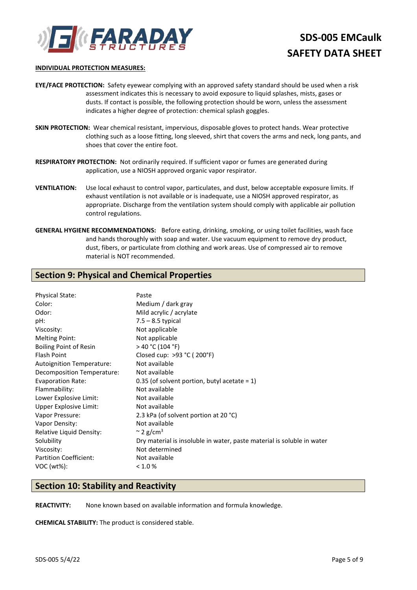

### **INDIVIDUAL PROTECTION MEASURES:**

- **EYE/FACE PROTECTION:** Safety eyewear complying with an approved safety standard should be used when a risk assessment indicates this is necessary to avoid exposure to liquid splashes, mists, gases or dusts. If contact is possible, the following protection should be worn, unless the assessment indicates a higher degree of protection: chemical splash goggles.
- **SKIN PROTECTION:** Wear chemical resistant, impervious, disposable gloves to protect hands. Wear protective clothing such as a loose fitting, long sleeved, shirt that covers the arms and neck, long pants, and shoes that cover the entire foot.
- **RESPIRATORY PROTECTION:** Not ordinarily required. If sufficient vapor or fumes are generated during application, use a NIOSH approved organic vapor respirator.
- **VENTILATION:** Use local exhaust to control vapor, particulates, and dust, below acceptable exposure limits. If exhaust ventilation is not available or is inadequate, use a NIOSH approved respirator, as appropriate. Discharge from the ventilation system should comply with applicable air pollution control regulations.
- **GENERAL HYGIENE RECOMMENDATIONS:** Before eating, drinking, smoking, or using toilet facilities, wash face and hands thoroughly with soap and water. Use vacuum equipment to remove dry product, dust, fibers, or particulate from clothing and work areas. Use of compressed air to remove material is NOT recommended.

## **Section 9: Physical and Chemical Properties**

| <b>Physical State:</b>        | Paste                                                                  |
|-------------------------------|------------------------------------------------------------------------|
| Color:                        | Medium / dark gray                                                     |
| Odor:                         | Mild acrylic / acrylate                                                |
| pH:                           | $7.5 - 8.5$ typical                                                    |
| Viscosity:                    | Not applicable                                                         |
| <b>Melting Point:</b>         | Not applicable                                                         |
| <b>Boiling Point of Resin</b> | > 40 °C (104 °F)                                                       |
| <b>Flash Point</b>            | Closed cup: >93 °C (200°F)                                             |
| Autoignition Temperature:     | Not available                                                          |
| Decomposition Temperature:    | Not available                                                          |
| <b>Evaporation Rate:</b>      | 0.35 (of solvent portion, butyl acetate = $1$ )                        |
| Flammability:                 | Not available                                                          |
| Lower Explosive Limit:        | Not available                                                          |
| Upper Explosive Limit:        | Not available                                                          |
| Vapor Pressure:               | 2.3 kPa (of solvent portion at 20 °C)                                  |
| Vapor Density:                | Not available                                                          |
| Relative Liquid Density:      | $\approx$ 2 g/cm <sup>3</sup>                                          |
| Solubility                    | Dry material is insoluble in water, paste material is soluble in water |
| Viscosity:                    | Not determined                                                         |
| <b>Partition Coefficient:</b> | Not available                                                          |
| $VOC (wt\%)$ :                | < 1.0 %                                                                |
|                               |                                                                        |

## **Section 10: Stability and Reactivity**

**REACTIVITY:** None known based on available information and formula knowledge.

**CHEMICAL STABILITY:** The product is considered stable.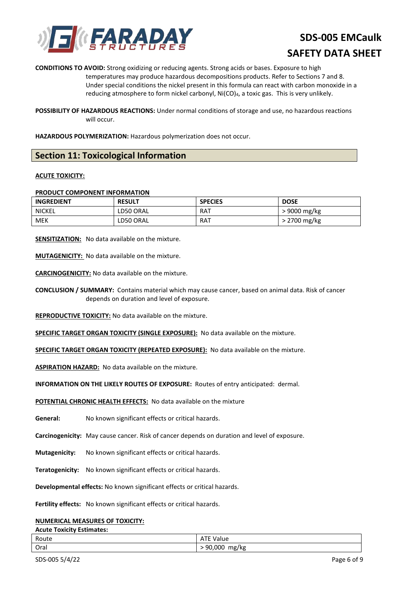

**CONDITIONS TO AVOID:** Strong oxidizing or reducing agents. Strong acids or bases. Exposure to high temperatures may produce hazardous decompositions products. Refer to Sections 7 and 8. Under special conditions the nickel present in this formula can react with carbon monoxide in a reducing atmosphere to form nickel carbonyl, Ni(CO)4, a toxic gas. This is very unlikely.

**POSSIBILITY OF HAZARDOUS REACTIONS:** Under normal conditions of storage and use, no hazardous reactions will occur.

**HAZARDOUS POLYMERIZATION:** Hazardous polymerization does not occur.

## **Section 11: Toxicological Information**

## **ACUTE TOXICITY:**

## **PRODUCT COMPONENT INFORMATION**

| <b>INGREDIENT</b> | <b>RESULT</b> | <b>SPECIES</b> | <b>DOSE</b>  |
|-------------------|---------------|----------------|--------------|
| NICKEL            | LD50 ORAL     | RAT            | 9000 mg/kg   |
| MEK               | LD50 ORAL     | RAT            | > 2700 mg/kg |

**SENSITIZATION:** No data available on the mixture.

**MUTAGENICITY:** No data available on the mixture.

**CARCINOGENICITY:** No data available on the mixture.

**CONCLUSION / SUMMARY:** Contains material which may cause cancer, based on animal data. Risk of cancer depends on duration and level of exposure.

**REPRODUCTIVE TOXICITY:** No data available on the mixture.

**SPECIFIC TARGET ORGAN TOXICITY (SINGLE EXPOSURE):** No data available on the mixture.

**SPECIFIC TARGET ORGAN TOXICITY (REPEATED EXPOSURE):** No data available on the mixture.

**ASPIRATION HAZARD:** No data available on the mixture.

**INFORMATION ON THE LIKELY ROUTES OF EXPOSURE:** Routes of entry anticipated: dermal.

**POTENTIAL CHRONIC HEALTH EFFECTS:** No data available on the mixture

- **General:** No known significant effects or critical hazards.
- **Carcinogenicity:** May cause cancer. Risk of cancer depends on duration and level of exposure.
- **Mutagenicity:** No known significant effects or critical hazards.
- **Teratogenicity:** No known significant effects or critical hazards.

**Developmental effects:** No known significant effects or critical hazards.

**Fertility effects:** No known significant effects or critical hazards.

## **NUMERICAL MEASURES OF TOXICITY:**

### **Acute Toxicity Estimates:**

| Route | TF Value<br>ATE   |
|-------|-------------------|
| Oral  | > 90,000<br>mg/kg |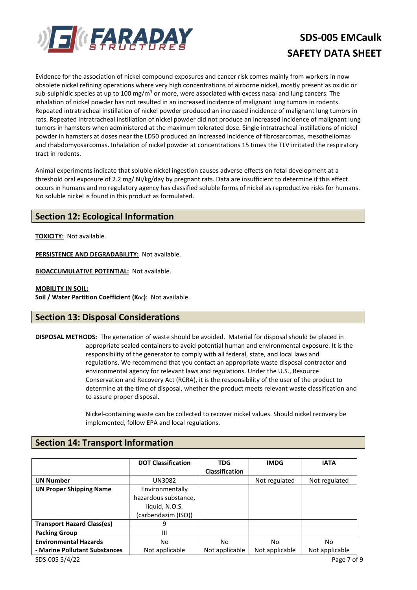

Evidence for the association of nickel compound exposures and cancer risk comes mainly from workers in now obsolete nickel refining operations where very high concentrations of airborne nickel, mostly present as oxidic or sub-sulphidic species at up to 100 mg/m<sup>3</sup> or more, were associated with excess nasal and lung cancers. The inhalation of nickel powder has not resulted in an increased incidence of malignant lung tumors in rodents. Repeated intratracheal instillation of nickel powder produced an increased incidence of malignant lung tumors in rats. Repeated intratracheal instillation of nickel powder did not produce an increased incidence of malignant lung tumors in hamsters when administered at the maximum tolerated dose. Single intratracheal instillations of nickel powder in hamsters at doses near the LD50 produced an increased incidence of fibrosarcomas, mesotheliomas and rhabdomyosarcomas. Inhalation of nickel powder at concentrations 15 times the TLV irritated the respiratory tract in rodents.

Animal experiments indicate that soluble nickel ingestion causes adverse effects on fetal development at a threshold oral exposure of 2.2 mg/ Ni/kg/day by pregnant rats. Data are insufficient to determine if this effect occurs in humans and no regulatory agency has classified soluble forms of nickel as reproductive risks for humans. No soluble nickel is found in this product as formulated.

# **Section 12: Ecological Information**

**TOXICITY:** Not available.

**PERSISTENCE AND DEGRADABILITY: Not available.** 

**BIOACCUMULATIVE POTENTIAL: Not available.** 

## **MOBILITY IN SOIL:**

**Soil / Water Partition Coefficient (Koc): Not available.** 

## **Section 13: Disposal Considerations**

**DISPOSAL METHODS:** The generation of waste should be avoided. Material for disposal should be placed in appropriate sealed containers to avoid potential human and environmental exposure. It is the responsibility of the generator to comply with all federal, state, and local laws and regulations. We recommend that you contact an appropriate waste disposal contractor and environmental agency for relevant laws and regulations. Under the U.S., Resource Conservation and Recovery Act (RCRA), it is the responsibility of the user of the product to determine at the time of disposal, whether the product meets relevant waste classification and to assure proper disposal.

> Nickel-containing waste can be collected to recover nickel values. Should nickel recovery be implemented, follow EPA and local regulations.

## **Section 14: Transport Information**

|                                   | <b>DOT Classification</b> | <b>TDG</b>            | <b>IMDG</b>    | <b>IATA</b>    |
|-----------------------------------|---------------------------|-----------------------|----------------|----------------|
|                                   |                           | <b>Classification</b> |                |                |
| <b>UN Number</b>                  | <b>UN3082</b>             |                       | Not regulated  | Not regulated  |
| <b>UN Proper Shipping Name</b>    | Environmentally           |                       |                |                |
|                                   | hazardous substance,      |                       |                |                |
|                                   | liquid, N.O.S.            |                       |                |                |
|                                   | (carbendazim (ISO))       |                       |                |                |
| <b>Transport Hazard Class(es)</b> | 9                         |                       |                |                |
| <b>Packing Group</b>              | Ш                         |                       |                |                |
| <b>Environmental Hazards</b>      | No                        | No.                   | No.            | No             |
| - Marine Pollutant Substances     | Not applicable            | Not applicable        | Not applicable | Not applicable |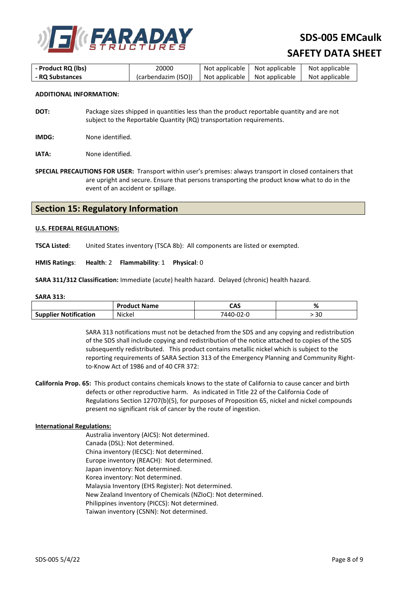

| - Product RQ (lbs) | 20000               | Not applicable   Not applicable |                                 | Not applicable |
|--------------------|---------------------|---------------------------------|---------------------------------|----------------|
| - RQ Substances    | (carbendazim (ISO)) |                                 | Not applicable   Not applicable | Not applicable |

### **ADDITIONAL INFORMATION:**

- **DOT:** Package sizes shipped in quantities less than the product reportable quantity and are not subject to the Reportable Quantity (RQ) transportation requirements.
- **IMDG:** None identified.

**IATA:** None identified.

**SPECIAL PRECAUTIONS FOR USER:** Transport within user's premises: always transport in closed containers that are upright and secure. Ensure that persons transporting the product know what to do in the event of an accident or spillage.

## **Section 15: Regulatory Information**

### **U.S. FEDERAL REGULATIONS:**

**TSCA Listed**: United States inventory (TSCA 8b): All components are listed or exempted.

**HMIS Ratings**: **Health**: 2 **Flammability**: 1 **Physical**: 0

**SARA 311/312 Classification:** Immediate (acute) health hazard. Delayed (chronic) health hazard.

### **SARA 313:**

|                              | <b>Product Name</b> | CAS       | 70 |
|------------------------------|---------------------|-----------|----|
| <b>Supplier Notification</b> | <b>Nickel</b>       | 7440-02-0 | 30 |

SARA 313 notifications must not be detached from the SDS and any copying and redistribution of the SDS shall include copying and redistribution of the notice attached to copies of the SDS subsequently redistributed. This product contains metallic nickel which is subject to the reporting requirements of SARA Section 313 of the Emergency Planning and Community Rightto-Know Act of 1986 and of 40 CFR 372:

**California Prop. 65:** This product contains chemicals knows to the state of California to cause cancer and birth defects or other reproductive harm. As indicated in Title 22 of the California Code of Regulations Section 12707(b)(5), for purposes of Proposition 65, nickel and nickel compounds present no significant risk of cancer by the route of ingestion.

### **International Regulations:**

Australia inventory (AICS): Not determined. Canada (DSL): Not determined. China inventory (IECSC): Not determined. Europe inventory (REACH): Not determined. Japan inventory: Not determined. Korea inventory: Not determined. Malaysia Inventory (EHS Register): Not determined. New Zealand Inventory of Chemicals (NZIoC): Not determined. Philippines inventory (PICCS): Not determined. Taiwan inventory (CSNN): Not determined.